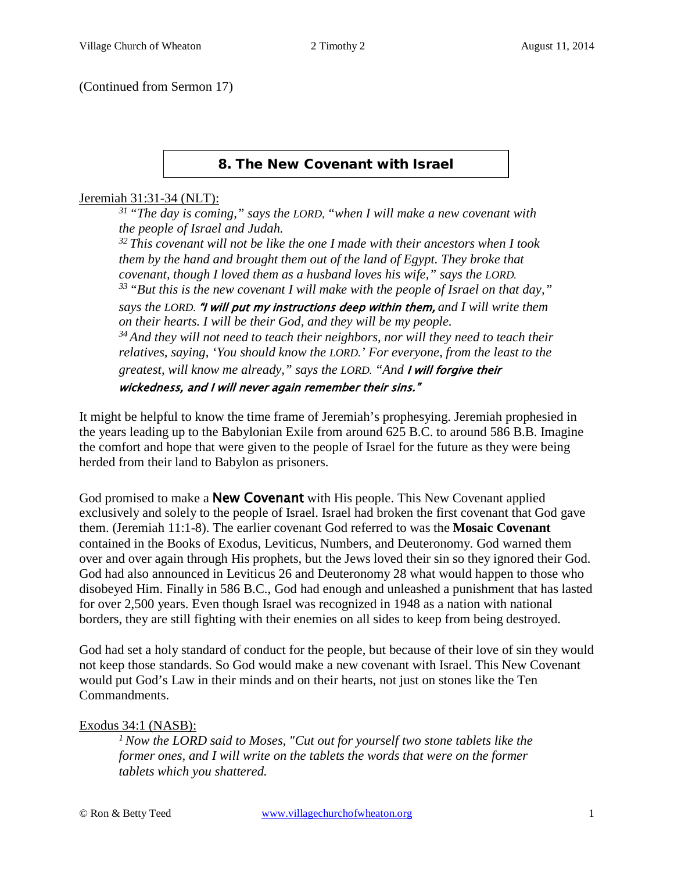#### (Continued from Sermon 17)

#### 8. The New Covenant with Israel

#### Jeremiah 31:31-34 (NLT):

*31 "The day is coming," says the LORD, "when I will make a new covenant with the people of Israel and Judah.* 

*32 This covenant will not be like the one I made with their ancestors when I took them by the hand and brought them out of the land of Egypt. They broke that covenant, though I loved them as a husband loves his wife," says the LORD. 33 "But this is the new covenant I will make with the people of Israel on that day," says the LORD.* "I will put my instructions deep within them, *and I will write them on their hearts. I will be their God, and they will be my people. 34 And they will not need to teach their neighbors, nor will they need to teach their relatives, saying, 'You should know the LORD.' For everyone, from the least to the greatest, will know me already," says the LORD. "And* I will forgive their wickedness, and I will never again remember their sins."

It might be helpful to know the time frame of Jeremiah's prophesying. Jeremiah prophesied in the years leading up to the Babylonian Exile from around 625 B.C. to around 586 B.B. Imagine the comfort and hope that were given to the people of Israel for the future as they were being herded from their land to Babylon as prisoners.

God promised to make a **New Covenant** with His people. This New Covenant applied exclusively and solely to the people of Israel. Israel had broken the first covenant that God gave them. (Jeremiah [11:1-8\)](http://www.crossbooks.com/verse.asp?ref=Jer+11%3A1-8). The earlier covenant God referred to was the **Mosaic Covenant** contained in the Books of Exodus, Leviticus, Numbers, and Deuteronomy. God warned them over and over again through His prophets, but the Jews loved their sin so they ignored their God. God had also announced in [Leviticus 26](http://www.crossbooks.com/verse.asp?ref=Lev+26) and [Deuteronomy 28](http://www.crossbooks.com/verse.asp?ref=Dt+28) what would happen to those who disobeyed Him. Finally in 586 B.C., God had enough and unleashed a punishment that has lasted for over 2,500 years. Even though Israel was recognized in 1948 as a nation with national borders, they are still fighting with their enemies on all sides to keep from being destroyed.

God had set a holy standard of conduct for the people, but because of their love of sin they would not keep those standards. So God would make a new covenant with Israel. This New Covenant would put God's Law in their minds and on their hearts, not just on stones like the Ten Commandments.

#### Exodus 34:1 (NASB):

*1 Now the LORD said to Moses, "Cut out for yourself two stone tablets like the former ones, and I will write on the tablets the words that were on the former tablets which you shattered.*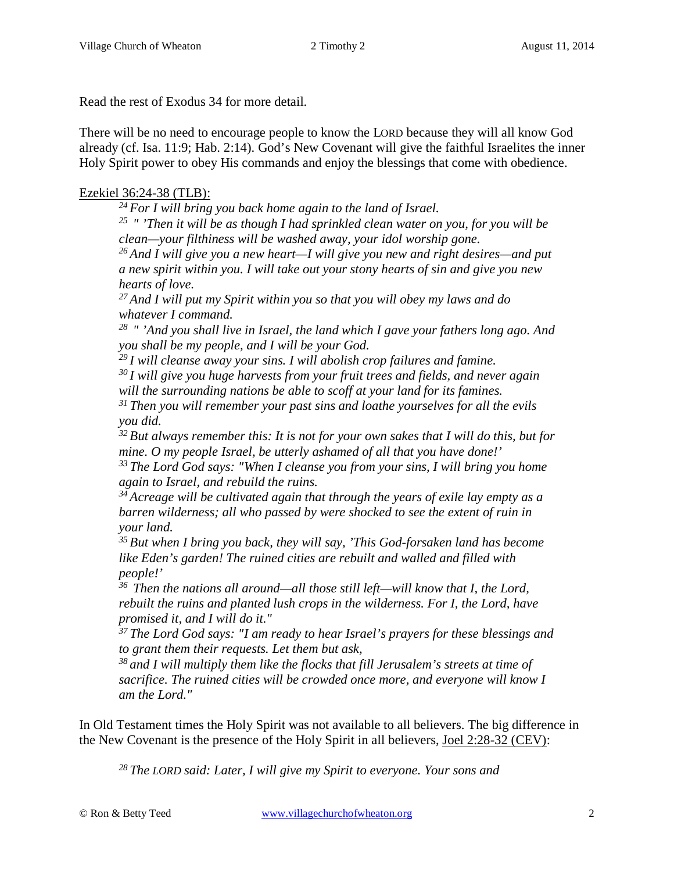Read the rest of Exodus 34 for more detail.

There will be no need to encourage people to know the LORD because they will all know God already (cf. [Isa. 11:9;](http://www.crossbooks.com/verse.asp?ref=Isa+11%3A9) [Hab. 2:14\)](http://www.crossbooks.com/verse.asp?ref=Hab+2%3A14). God's New Covenant will give the faithful Israelites the inner Holy Spirit power to obey His commands and enjoy the blessings that come with obedience.

## Ezekiel 36:24-38 (TLB):

*24 For I will bring you back home again to the land of Israel.* 

*25 " 'Then it will be as though I had sprinkled clean water on you, for you will be clean—your filthiness will be washed away, your idol worship gone.* 

*26 And I will give you a new heart—I will give you new and right desires—and put a new spirit within you. I will take out your stony hearts of sin and give you new hearts of love.* 

*27 And I will put my Spirit within you so that you will obey my laws and do whatever I command.* 

*28 " 'And you shall live in Israel, the land which I gave your fathers long ago. And you shall be my people, and I will be your God.* 

*29 I will cleanse away your sins. I will abolish crop failures and famine.* 

*30 I will give you huge harvests from your fruit trees and fields, and never again will the surrounding nations be able to scoff at your land for its famines.* 

*31 Then you will remember your past sins and loathe yourselves for all the evils you did.* 

*32 But always remember this: It is not for your own sakes that I will do this, but for mine. O my people Israel, be utterly ashamed of all that you have done!'* 

*33 The Lord God says: "When I cleanse you from your sins, I will bring you home again to Israel, and rebuild the ruins.* 

*34 Acreage will be cultivated again that through the years of exile lay empty as a barren wilderness; all who passed by were shocked to see the extent of ruin in your land.* 

*35 But when I bring you back, they will say, 'This God-forsaken land has become like Eden's garden! The ruined cities are rebuilt and walled and filled with people!'* 

*36 Then the nations all around—all those still left—will know that I, the Lord, rebuilt the ruins and planted lush crops in the wilderness. For I, the Lord, have promised it, and I will do it."* 

*37 The Lord God says: "I am ready to hear Israel's prayers for these blessings and to grant them their requests. Let them but ask,* 

*38 and I will multiply them like the flocks that fill Jerusalem's streets at time of sacrifice. The ruined cities will be crowded once more, and everyone will know I am the Lord."* 

In Old Testament times the Holy Spirit was not available to all believers. The big difference in the New Covenant is the presence of the Holy Spirit in all believers, Joel 2:28-32 (CEV):

*28 The LORD said: Later, I will give my Spirit to everyone. Your sons and*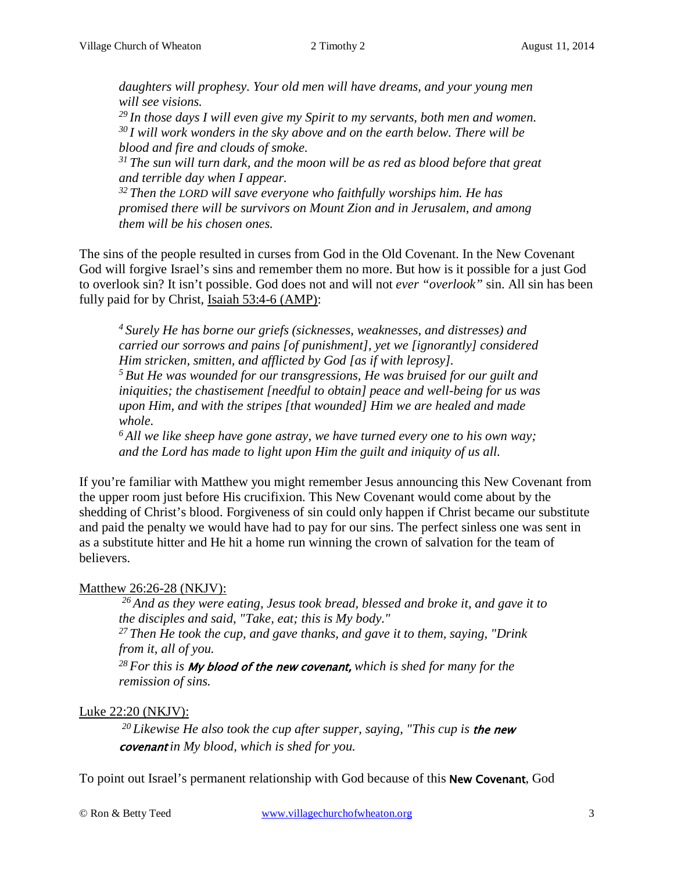*daughters will prophesy. Your old men will have dreams, and your young men will see visions.* 

*29 In those days I will even give my Spirit to my servants, both men and women. 30 I will work wonders in the sky above and on the earth below. There will be blood and fire and clouds of smoke.* 

*31 The sun will turn dark, and the moon will be as red as blood before that great and terrible day when I appear.* 

*32 Then the LORD will save everyone who faithfully worships him. He has promised there will be survivors on Mount Zion and in Jerusalem, and among them will be his chosen ones.* 

The sins of the people resulted in curses from God in the Old Covenant. In the New Covenant God will forgive Israel's sins and remember them no more. But how is it possible for a just God to overlook sin? It isn't possible. God does not and will not *ever "overlook"* sin. All sin has been fully paid for by Christ, Isaiah 53:4-6 (AMP):

*4 Surely He has borne our griefs (sicknesses, weaknesses, and distresses) and carried our sorrows and pains [of punishment], yet we [ignorantly] considered Him stricken, smitten, and afflicted by God [as if with leprosy]. 5 But He was wounded for our transgressions, He was bruised for our guilt and*

*iniquities; the chastisement [needful to obtain] peace and well-being for us was upon Him, and with the stripes [that wounded] Him we are healed and made whole.* 

*6 All we like sheep have gone astray, we have turned every one to his own way; and the Lord has made to light upon Him the guilt and iniquity of us all.* 

If you're familiar with Matthew you might remember Jesus announcing this New Covenant from the upper room just before His crucifixion. This New Covenant would come about by the shedding of Christ's blood. Forgiveness of sin could only happen if Christ became our substitute and paid the penalty we would have had to pay for our sins. The perfect sinless one was sent in as a substitute hitter and He hit a home run winning the crown of salvation for the team of believers.

# Matthew 26:26-28 (NKJV):

*26 And as they were eating, Jesus took bread, blessed and broke it, and gave it to the disciples and said, "Take, eat; this is My body."*

*27 Then He took the cup, and gave thanks, and gave it to them, saying, "Drink from it, all of you.*

*28 For this is* My blood of the new covenant, *which is shed for many for the remission of sins.*

# Luke 22:20 (NKJV):

*20 Likewise He also took the cup after supper, saying, "This cup is* the new covenant *in My blood, which is shed for you.*

To point out Israel's permanent relationship with God because of this New Covenant, God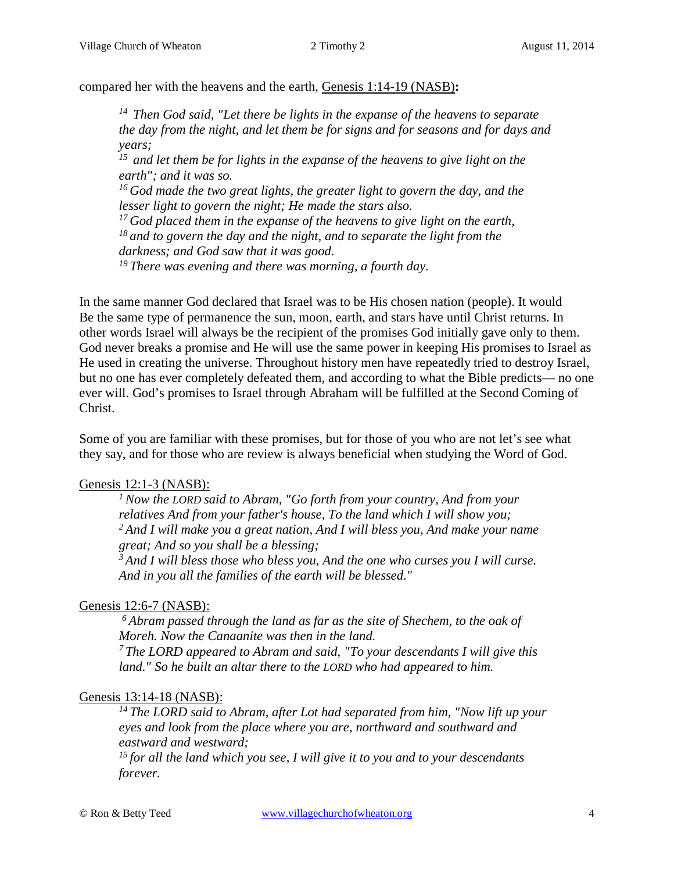compared her with the heavens and the earth, Genesis 1:14-19 (NASB)**:** 

*14 Then God said, "Let there be lights in the expanse of the heavens to separate the day from the night, and let them be for signs and for seasons and for days and years;* 

*15 and let them be for lights in the expanse of the heavens to give light on the earth"; and it was so.* 

<sup>16</sup> God made the two great lights, the greater light to govern the day, and the *lesser light to govern the night; He made the stars also.* 

*17 God placed them in the expanse of the heavens to give light on the earth, 18 and to govern the day and the night, and to separate the light from the* 

*darkness; and God saw that it was good.* 

*19 There was evening and there was morning, a fourth day.* 

In the same manner God declared that Israel was to be His chosen nation (people). It would Be the same type of permanence the sun, moon, earth, and stars have until Christ returns. In other words Israel will always be the recipient of the promises God initially gave only to them. God never breaks a promise and He will use the same power in keeping His promises to Israel as He used in creating the universe. Throughout history men have repeatedly tried to destroy Israel, but no one has ever completely defeated them, and according to what the Bible predicts— no one ever will. God's promises to Israel through Abraham will be fulfilled at the Second Coming of Christ.

Some of you are familiar with these promises, but for those of you who are not let's see what they say, and for those who are review is always beneficial when studying the Word of God.

### Genesis 12:1-3 (NASB):

*1 Now the LORD said to Abram, "Go forth from your country, And from your relatives And from your father's house, To the land which I will show you; 2 And I will make you a great nation, And I will bless you, And make your name great; And so you shall be a blessing;* 

*3 And I will bless those who bless you, And the one who curses you I will curse. And in you all the families of the earth will be blessed."*

# Genesis 12:6-7 (NASB):

*6 Abram passed through the land as far as the site of Shechem, to the oak of Moreh. Now the Canaanite was then in the land.* 

*7 The LORD appeared to Abram and said, "To your descendants I will give this land." So he built an altar there to the LORD who had appeared to him.*

# Genesis 13:14-18 (NASB):

*14 The LORD said to Abram, after Lot had separated from him, "Now lift up your eyes and look from the place where you are, northward and southward and eastward and westward;* 

*15 for all the land which you see, I will give it to you and to your descendants forever.*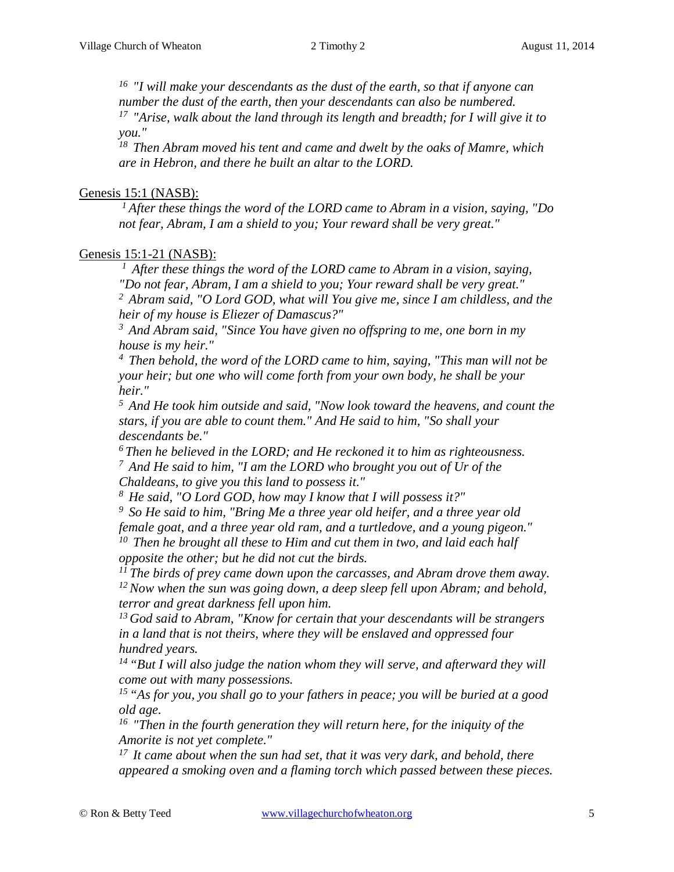*16 "I will make your descendants as the dust of the earth, so that if anyone can number the dust of the earth, then your descendants can also be numbered. 17 "Arise, walk about the land through its length and breadth; for I will give it to* 

*you."* 

*18 Then Abram moved his tent and came and dwelt by the oaks of Mamre, which are in Hebron, and there he built an altar to the LORD.*

#### Genesis 15:1 (NASB):

*1 After these things the word of the LORD came to Abram in a vision, saying, "Do not fear, Abram, I am a shield to you; Your reward shall be very great."*

#### Genesis 15:1-21 (NASB):

*1 After these things the word of the LORD came to Abram in a vision, saying, "Do not fear, Abram, I am a shield to you; Your reward shall be very great."*

*2 Abram said, "O Lord GOD, what will You give me, since I am childless, and the heir of my house is Eliezer of Damascus?"* 

*3 And Abram said, "Since You have given no offspring to me, one born in my house is my heir."* 

*4 Then behold, the word of the LORD came to him, saying, "This man will not be your heir; but one who will come forth from your own body, he shall be your heir."* 

*5 And He took him outside and said, "Now look toward the heavens, and count the stars, if you are able to count them." And He said to him, "So shall your descendants be."* 

*6 Then he believed in the LORD; and He reckoned it to him as righteousness. 7 And He said to him, "I am the LORD who brought you out of Ur of the Chaldeans, to give you this land to possess it."* 

*8 He said, "O Lord GOD, how may I know that I will possess it?"* 

*9 So He said to him, "Bring Me a three year old heifer, and a three year old female goat, and a three year old ram, and a turtledove, and a young pigeon." 10 Then he brought all these to Him and cut them in two, and laid each half* 

*opposite the other; but he did not cut the birds.* 

*11 The birds of prey came down upon the carcasses, and Abram drove them away. 12 Now when the sun was going down, a deep sleep fell upon Abram; and behold, terror and great darkness fell upon him.* 

*13 God said to Abram, "Know for certain that your descendants will be strangers in a land that is not theirs, where they will be enslaved and oppressed four hundred years.* 

*14 "But I will also judge the nation whom they will serve, and afterward they will come out with many possessions.* 

*15 "As for you, you shall go to your fathers in peace; you will be buried at a good old age.* 

<sup>16</sup> "Then in the fourth generation they will return here, for the iniquity of the *Amorite is not yet complete."* 

*17 It came about when the sun had set, that it was very dark, and behold, there appeared a smoking oven and a flaming torch which passed between these pieces.*